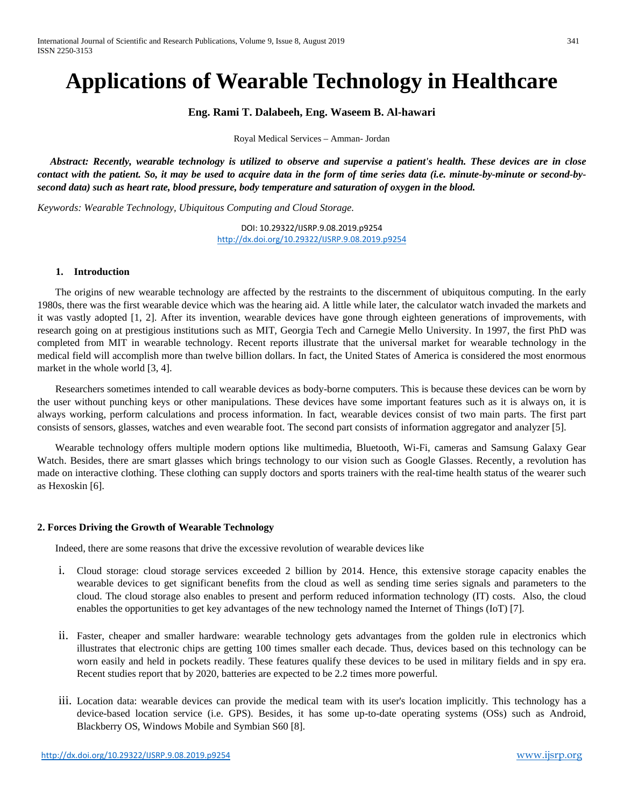# **Applications of Wearable Technology in Healthcare**

**Eng. Rami T. Dalabeeh, Eng. Waseem B. Al-hawari**

Royal Medical Services – Amman- Jordan

 *Abstract: Recently, wearable technology is utilized to observe and supervise a patient's health. These devices are in close contact with the patient. So, it may be used to acquire data in the form of time series data (i.e. minute-by-minute or second-bysecond data) such as heart rate, blood pressure, body temperature and saturation of oxygen in the blood.*

*Keywords: Wearable Technology, Ubiquitous Computing and Cloud Storage.*

DOI: 10.29322/IJSRP.9.08.2019.p9254 <http://dx.doi.org/10.29322/IJSRP.9.08.2019.p9254>

### **1. Introduction**

 The origins of new wearable technology are affected by the restraints to the discernment of ubiquitous computing. In the early 1980s, there was the first wearable device which was the hearing aid. A little while later, the calculator watch invaded the markets and it was vastly adopted [1, 2]. After its invention, wearable devices have gone through eighteen generations of improvements, with research going on at prestigious institutions such as MIT, Georgia Tech and Carnegie Mello University. In 1997, the first PhD was completed from MIT in wearable technology. Recent reports illustrate that the universal market for wearable technology in the medical field will accomplish more than twelve billion dollars. In fact, the United States of America is considered the most enormous market in the whole world [3, 4].

 Researchers sometimes intended to call wearable devices as body-borne computers. This is because these devices can be worn by the user without punching keys or other manipulations. These devices have some important features such as it is always on, it is always working, perform calculations and process information. In fact, wearable devices consist of two main parts. The first part consists of sensors, glasses, watches and even wearable foot. The second part consists of information aggregator and analyzer [5].

 Wearable technology offers multiple modern options like multimedia, Bluetooth, Wi-Fi, cameras and Samsung Galaxy Gear Watch. Besides, there are smart glasses which brings technology to our vision such as Google Glasses. Recently, a revolution has made on interactive clothing. These clothing can supply doctors and sports trainers with the real-time health status of the wearer such as Hexoskin [6].

#### **2. Forces Driving the Growth of Wearable Technology**

Indeed, there are some reasons that drive the excessive revolution of wearable devices like

- i. Cloud storage: cloud storage services exceeded 2 billion by 2014. Hence, this extensive storage capacity enables the wearable devices to get significant benefits from the cloud as well as sending time series signals and parameters to the cloud. The cloud storage also enables to present and perform reduced information technology (IT) costs. Also, the cloud enables the opportunities to get key advantages of the new technology named the Internet of Things (IoT) [7].
- ii. Faster, cheaper and smaller hardware: wearable technology gets advantages from the golden rule in electronics which illustrates that electronic chips are getting 100 times smaller each decade. Thus, devices based on this technology can be worn easily and held in pockets readily. These features qualify these devices to be used in military fields and in spy era. Recent studies report that by 2020, batteries are expected to be 2.2 times more powerful.
- iii. Location data: wearable devices can provide the medical team with its user's location implicitly. This technology has a device-based location service (i.e. GPS). Besides, it has some up-to-date operating systems (OSs) such as Android, Blackberry OS, Windows Mobile and Symbian S60 [8].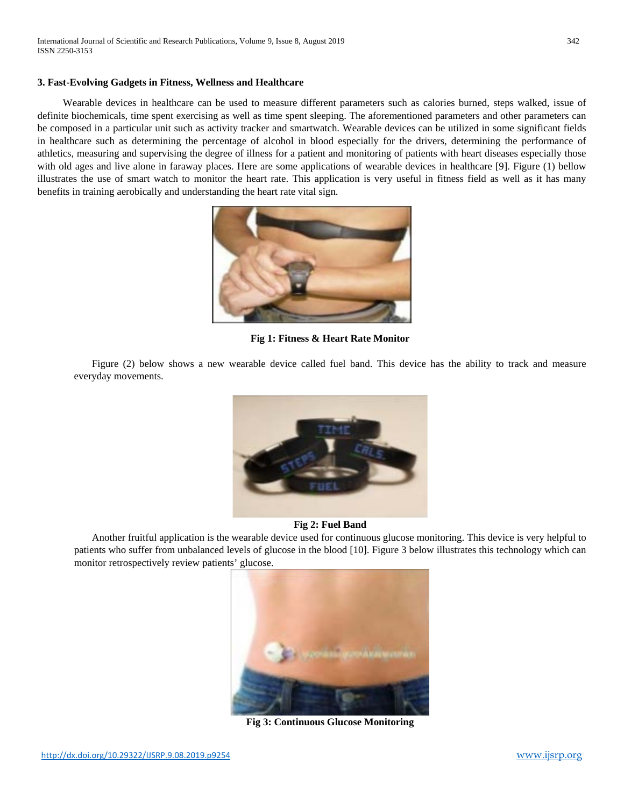### **3. Fast-Evolving Gadgets in Fitness, Wellness and Healthcare**

 Wearable devices in healthcare can be used to measure different parameters such as calories burned, steps walked, issue of definite biochemicals, time spent exercising as well as time spent sleeping. The aforementioned parameters and other parameters can be composed in a particular unit such as activity tracker and smartwatch. Wearable devices can be utilized in some significant fields in healthcare such as determining the percentage of alcohol in blood especially for the drivers, determining the performance of athletics, measuring and supervising the degree of illness for a patient and monitoring of patients with heart diseases especially those with old ages and live alone in faraway places. Here are some applications of wearable devices in healthcare [9]. Figure (1) bellow illustrates the use of smart watch to monitor the heart rate. This application is very useful in fitness field as well as it has many benefits in training aerobically and understanding the heart rate vital sign.



**Fig 1: Fitness & Heart Rate Monitor**

 Figure (2) below shows a new wearable device called fuel band. This device has the ability to track and measure everyday movements.



### **Fig 2: Fuel Band**

 Another fruitful application is the wearable device used for continuous glucose monitoring. This device is very helpful to patients who suffer from unbalanced levels of glucose in the blood [10]. Figure 3 below illustrates this technology which can monitor retrospectively review patients' glucose.



**Fig 3: Continuous Glucose Monitoring**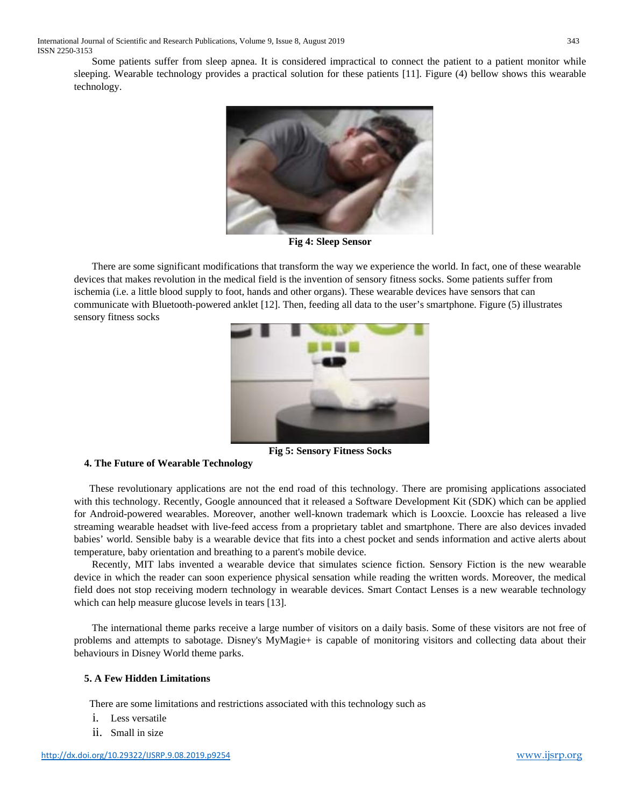International Journal of Scientific and Research Publications, Volume 9, Issue 8, August 2019 343 ISSN 2250-3153

 Some patients suffer from sleep apnea. It is considered impractical to connect the patient to a patient monitor while sleeping. Wearable technology provides a practical solution for these patients [11]. Figure (4) bellow shows this wearable technology.



**Fig 4: Sleep Sensor**

 There are some significant modifications that transform the way we experience the world. In fact, one of these wearable devices that makes revolution in the medical field is the invention of sensory fitness socks. Some patients suffer from ischemia (i.e. a little blood supply to foot, hands and other organs). These wearable devices have sensors that can communicate with Bluetooth-powered anklet [12]. Then, feeding all data to the user's smartphone. Figure (5) illustrates sensory fitness socks



**Fig 5: Sensory Fitness Socks**

#### **4. The Future of Wearable Technology**

These revolutionary applications are not the end road of this technology. There are promising applications associated with this technology. Recently, Google announced that it released a Software Development Kit (SDK) which can be applied for Android-powered wearables. Moreover, another well-known trademark which is Looxcie. Looxcie has released a live streaming wearable headset with live-feed access from a proprietary tablet and smartphone. There are also devices invaded babies' world. Sensible baby is a wearable device that fits into a chest pocket and sends information and active alerts about temperature, baby orientation and breathing to a parent's mobile device.

 Recently, MIT labs invented a wearable device that simulates science fiction. Sensory Fiction is the new wearable device in which the reader can soon experience physical sensation while reading the written words. Moreover, the medical field does not stop receiving modern technology in wearable devices. Smart Contact Lenses is a new wearable technology which can help measure glucose levels in tears [13].

 The international theme parks receive a large number of visitors on a daily basis. Some of these visitors are not free of problems and attempts to sabotage. Disney's MyMagie+ is capable of monitoring visitors and collecting data about their behaviours in Disney World theme parks.

## **5. A Few Hidden Limitations**

There are some limitations and restrictions associated with this technology such as

- i. Less versatile
- ii. Small in size